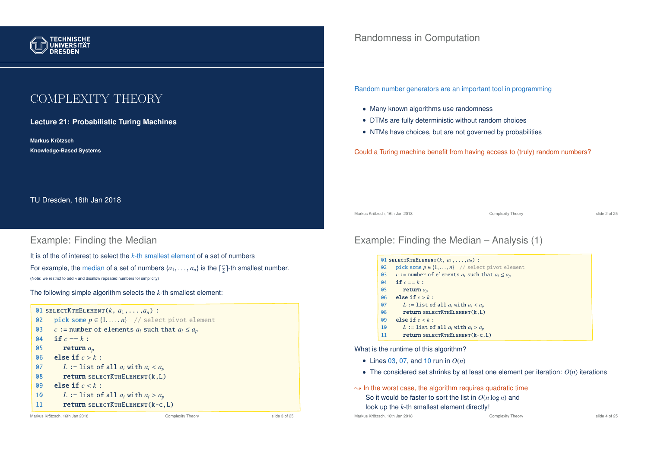

# COMPLEXITY THEORY

**Lecture 21: Probabilistic Turing Machines**

**Markus Krotzsch ¨ Knowledge-Based Systems**

TU Dresden, 16th Jan 2018

### Example: Finding the Median

It is of the of interest to select the *k*-th smallest element of a set of numbers For example, the median of a set of numbers  $\{a_1, \ldots, a_n\}$  is the  $\lceil \frac{n}{2} \rceil$ -th smallest number. (Note: we restrict to odd *n* and disallow repeated numbers for simplicity)

The following simple algorithm selects the *k*-th smallest element:



## Randomness in Computation

Random number generators are an important tool in programming

- Many known algorithms use randomness
- DTMs are fully deterministic without random choices
- NTMs have choices, but are not governed by probabilities

Could a Turing machine benefit from having access to (truly) random numbers?

Markus Krötzsch, 16th Jan 2018 Complexity Theory slide 2 of 25

## Example: Finding the Median – Analysis (1)

|                | 01 SELECTKTHELEMENT $(k, a_1, \ldots, a_n)$ :         |
|----------------|-------------------------------------------------------|
| Q <sub>2</sub> | pick some $p \in \{1, , n\}$ // select pivot element  |
| 03             | c := number of elements $a_i$ such that $a_i \le a_p$ |
| Q <sub>4</sub> | if $c == k$ :                                         |
| 05             | return $a_n$                                          |
| 06             | else if $c > k$ :                                     |
| $\mathbf{0}7$  | L := list of all $a_i$ with $a_i < a_n$               |
| 08             | $return$ SELECT $K$ THELEMENT $(k, L)$                |
| 09             | else if $c < k$ :                                     |
| 10             | L := list of all $a_i$ with $a_i > a_p$               |
| 11             | <b>return</b> SELECTKTHELEMENT $(k-c, L)$             |

What is the runtime of this algorithm?

- Lines 03, 07, and 10 run in *O*(*n*)
- The considered set shrinks by at least one element per iteration: *O*(*n*) iterations
- $\rightarrow$  In the worst case, the algorithm requires quadratic time So it would be faster to sort the list in *O*(*n* log *n*) and look up the *k*-th smallest element directly!

Markus Krötzsch, 16th Jan 2018 **Complexity Theory** Complexity Theory slide 4 of 25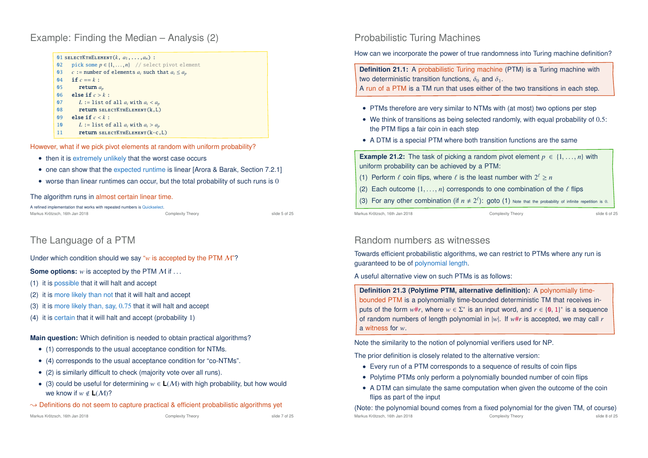Example: Finding the Median – Analysis (2)

|                | 01 SELECTKTHELEMENT $(k, a_1, \ldots, a_n)$ :         |
|----------------|-------------------------------------------------------|
| Q <sub>2</sub> | pick some $p \in \{1, , n\}$ // select pivot element  |
| Q <sub>3</sub> | c := number of elements $a_i$ such that $a_i \le a_p$ |
| $\mathbf{0}4$  | if $c == k$ :                                         |
| 05             | return $a_n$                                          |
| 06             | else if $c > k$ :                                     |
| 07             | L := list of all $a_i$ with $a_i < a_p$               |
| 08             | $return$ SELECT $K$ THELEMENT $(k, L)$                |
| 09             | else if $c < k$ :                                     |
| 10             | L := list of all $a_i$ with $a_i > a_p$               |
| 11             | <b>return</b> SELECTKTHELEMENT $(k-c, L)$             |

However, what if we pick pivot elements at random with uniform probability?

- then it is extremely unlikely that the worst case occurs
- one can show that the expected runtime is linear [Arora & Barak, Section 7.2.1]
- worse than linear runtimes can occur, but the total probability of such runs is  $0$

#### The algorithm runs in almost certain linear time.

A refined implementation that works with repeated numbers is Quickselect. Markus Krötzsch, 16th Jan 2018 Complexity Theory Complexity Theory Slide 5 of 25

The Language of a PTM

Under which condition should we say "*w* is accepted by the PTM M"?

**Some options:** *w* is accepted by the PTM M if ...

- (1) it is possible that it will halt and accept
- (2) it is more likely than not that it will halt and accept
- (3) it is more likely than, say, 0.75 that it will halt and accept
- (4) it is certain that it will halt and accept (probability 1)

**Main question:** Which definition is needed to obtain practical algorithms?

- (1) corresponds to the usual acceptance condition for NTMs.
- (4) corresponds to the usual acceptance condition for "co-NTMs".
- (2) is similarly difficult to check (majority vote over all runs).
- (3) could be useful for determining *w* ∈ **L**(M) with high probability, but how would we know if  $w \notin L(M)$ ?
- $\rightarrow$  Definitions do not seem to capture practical & efficient probabilistic algorithms yet

Markus Krötzsch, 16th Jan 2018 **Complexity Theory** Complexity Theory Slide 7 of 25

### Probabilistic Turing Machines

How can we incorporate the power of true randomness into Turing machine definition?

**Definition 21.1:** A probabilistic Turing machine (PTM) is a Turing machine with two deterministic transition functions,  $\delta_0$  and  $\delta_1$ .

A run of a PTM is a TM run that uses either of the two transitions in each step.

- PTMs therefore are very similar to NTMs with (at most) two options per step
- We think of transitions as being selected randomly, with equal probability of 0.5: the PTM flips a fair coin in each step
- A DTM is a special PTM where both transition functions are the same

**Example 21.2:** The task of picking a random pivot element  $p \in \{1, ..., n\}$  with uniform probability can be achieved by a PTM:

- (1) Perform  $\ell$  coin flips, where  $\ell$  is the least number with  $2^{\ell} \ge n$
- (2) Each outcome  $\{1, \ldots, n\}$  corresponds to one combination of the  $\ell$  flips
- (3) For any other combination (if  $n \neq 2^{\ell}$ ): goto (1) Note that the probability of infinite repetition is 0.

Markus Krötzsch, 16th Jan 2018 Complexity Theory slide 6 of 25

### Random numbers as witnesses

Towards efficient probabilistic algorithms, we can restrict to PTMs where any run is guaranteed to be of polynomial length.

A useful alternative view on such PTMs is as follows:

**Definition 21.3 (Polytime PTM, alternative definition):** A polynomially timebounded PTM is a polynomially time-bounded deterministic TM that receives inputs of the form  $w \# r$ , where  $w \in \Sigma^*$  is an input word, and  $r \in \{0, 1\}^*$  is a sequence of random numbers of length polynomial in |*w*|. If *w*#*r* is accepted, we may call *r* a witness for *w*.

Note the similarity to the notion of polynomial verifiers used for NP.

The prior definition is closely related to the alternative version:

- Every run of a PTM corresponds to a sequence of results of coin flips
- Polytime PTMs only perform a polynomially bounded number of coin flips
- A DTM can simulate the same computation when given the outcome of the coin flips as part of the input

(Note: the polynomial bound comes from a fixed polynomial for the given TM, of course) Markus Krötzsch, 16th Jan 2018 Complexity Theory slide 8 of 25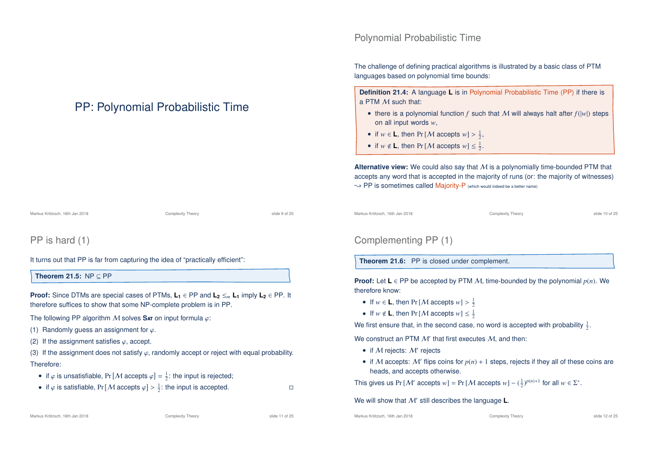# PP: Polynomial Probabilistic Time

Markus Krötzsch, 16th Jan 2018 Complexity Theory Complexity Theory Slide 9 of 25

# PP is hard (1)

It turns out that PP is far from capturing the idea of "practically efficient":

**Theorem 21.5:** NP ⊆ PP

**Proof:** Since DTMs are special cases of PTMs,  $L_1 \in PP$  and  $L_2 \leq_m L_1$  imply  $L_2 \in PP$ . It therefore suffices to show that some NP-complete problem is in PP.

The following PP algorithm M solves **S**at on input formula ϕ:

- (1) Randomly guess an assignment for  $\varphi$ .
- (2) If the assignment satisfies  $\varphi$ , accept.

(3) If the assignment does not satisfy  $\varphi$ , randomly accept or reject with equal probability. Therefore:

- if  $\varphi$  is unsatisfiable, Pr  $[M \text{ accepts } \varphi] = \frac{1}{2}$ : the input is rejected;
- if  $\varphi$  is satisfiable, Pr [*M* accepts  $\varphi$ ] >  $\frac{1}{2}$ : the input is accepted.

## Polynomial Probabilistic Time

The challenge of defining practical algorithms is illustrated by a basic class of PTM languages based on polynomial time bounds:

**Definition 21.4:** A language **L** is in Polynomial Probabilistic Time (PP) if there is a PTM M such that:

- there is a polynomial function  $f$  such that  $M$  will always halt after  $f(|w|)$  steps on all input words *w*,
- if  $w \in L$ , then Pr [*M* accepts  $w$ ] >  $\frac{1}{2}$ ,
- if  $w \notin L$ , then Pr [*M* accepts  $w \leq \frac{1}{2}$ .

**Alternative view:** We could also say that M is a polynomially time-bounded PTM that accepts any word that is accepted in the majority of runs (or: the majority of witnesses)  $\rightarrow$  PP is sometimes called Majority-P (which would indeed be a better name)

```
Markus Krötzsch, 16th Jan 2018 Complexity Theory slide 10 of 25
```
## Complementing PP (1)

**Theorem 21.6:** PP is closed under complement.

**Proof:** Let **L**  $\in$  PP be accepted by PTM M, time-bounded by the polynomial  $p(n)$ . We therefore know:

- If  $w \in L$ , then Pr [*M* accepts  $w$ ] >  $\frac{1}{2}$
- If  $w \notin L$ , then Pr [*M* accepts  $w \leq \frac{1}{2}$

We first ensure that, in the second case, no word is accepted with probability  $\frac{1}{2}$ .

We construct an PTM  $\mathcal M'$  that first executes  $\mathcal M$ , and then:

- if  $M$  rejects:  $M'$  rejects
- if M accepts:  $M'$  flips coins for  $p(n) + 1$  steps, rejects if they all of these coins are heads, and accepts otherwise.

This gives us Pr [*M'* accepts  $w$ ] = Pr [*M* accepts  $w$ ] –  $(\frac{1}{2})^{p(n)+1}$  for all  $w \in \Sigma^*$ .

We will show that M' still describes the language **L**.

Markus Krötzsch, 16th Jan 2018 Complexity Theory Complexity Theory slide 11 of 25

Markus Krötzsch, 16th Jan 2018 Complexity Theory Complexity Theory Slide 12 of 25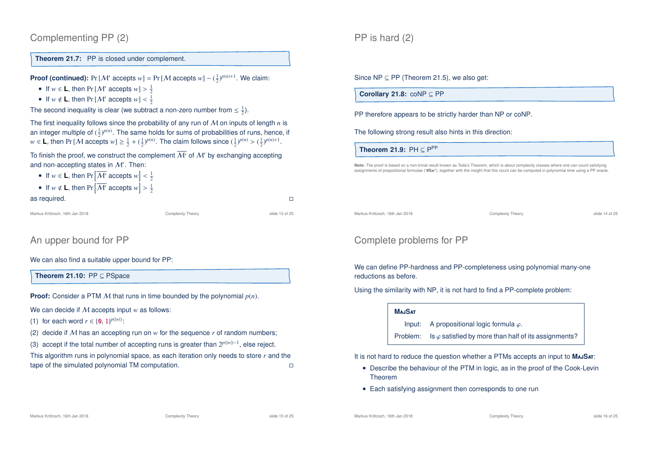```
Complementing PP (2)
```
**Theorem 21.7:** PP is closed under complement.

**Proof (continued):** Pr [M' accepts  $w$ ] = Pr [M accepts  $w$ ] –  $(\frac{1}{2})^{p(n)+1}$ . We claim:

- If  $w \in L$ , then Pr  $[M'$  accepts  $w$ ] >  $\frac{1}{2}$
- If  $w \notin L$ , then Pr [M' accepts  $w$ ] <  $\frac{1}{2}$

The second inequality is clear (we subtract a non-zero number from  $\leq \frac{1}{2}$ ).

The first inequality follows since the probability of any run of M on inputs of length *n* is an integer multiple of  $(\frac{1}{2})^{p(n)}$ . The same holds for sums of probabilities of runs, hence, if *w* ∈ **L**, then Pr [*M* accepts *w*] ≥  $\frac{1}{2} + (\frac{1}{2})^{p(n)}$ . The claim follows since  $(\frac{1}{2})^{p(n)} > (\frac{1}{2})^{p(n)+1}$ .

To finish the proof, we construct the complement  $\overline{\mathcal{M}'}$  of  $\mathcal{M}'$  by exchanging accepting and non-accepting states in  $\mathcal{M}'$ . Then:

- If  $w \in L$ , then  $Pr\left[\overline{\mathcal{M}'}\right]$  accepts  $w > \frac{1}{2}$
- If  $w \notin L$ , then  $Pr\left[\overline{\mathcal{M}'}\right]$  accepts  $w > \frac{1}{2}$

as required.  $\Box$ 

Markus Krötzsch, 16th Jan 2018 Complexity Theory slide 13 of 25

## An upper bound for PP

We can also find a suitable upper bound for PP:

**Theorem 21.10:** PP ⊆ PSpace

**Proof:** Consider a PTM M that runs in time bounded by the polynomial *p*(*n*).

We can decide if M accepts input *w* as follows:

(1) for each word  $r \in \{0, 1\}^{p(|w|)}$ :

(2) decide if M has an accepting run on  $w$  for the sequence  $r$  of random numbers;

(3) accept if the total number of accepting runs is greater than  $2^{p(|w|)-1}$ , else reject.

This algorithm runs in polynomial space, as each iteration only needs to store *r* and the tape of the simulated polynomial TM computation. Since NP  $\subseteq$  PP (Theorem 21.5), we also get:

**Corollary 21.8:** coNP ⊆ PP

PP therefore appears to be strictly harder than NP or coNP.

The following strong result also hints in this direction:

**Theorem 21.9:**  $PH \subseteq P^{PP}$ 

**Note:** The proof is based on a non-trivial result known as Toda's Theorem, which is about complexity classes where one can count satisfying assignments of propositional formulae ("**#S**at"), together with the insight that this count can be computed in polynomial time using a PP oracle.

Markus Krötzsch, 16th Jan 2018 Complexity Theory slide 14 of 25

## Complete problems for PP

We can define PP-hardness and PP-completeness using polynomial many-one reductions as before.

Using the similarity with NP, it is not hard to find a PP-complete problem:

#### **M**aj**S**at

Input: A propositional logic formula  $\varphi$ .

Problem: Is  $\varphi$  satisfied by more than half of its assignments?

It is not hard to reduce the question whether a PTMs accepts an input to **M**aj**S**at:

- Describe the behaviour of the PTM in logic, as in the proof of the Cook-Levin Theorem
- Each satisfying assignment then corresponds to one run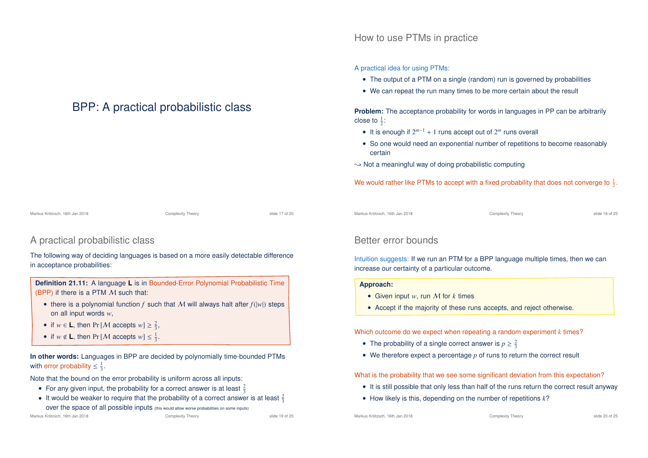How to use PTMs in practice

A practical idea for using PTMs:

- The output of a PTM on a single (random) run is governed by probabilities
- We can repeat the run many times to be more certain about the result

**Problem:** The acceptance probability for words in languages in PP can be arbitrarily close to  $\frac{1}{2}$ :

- It is enough if 2 *<sup>m</sup>*−<sup>1</sup> + 1 runs accept out of 2 *<sup>m</sup>* runs overall
- So one would need an exponential number of repetitions to become reasonably certain
- $\rightarrow$  Not a meaningful way of doing probabilistic computing

We would rather like PTMs to accept with a fixed probability that does not converge to  $\frac{1}{2}$ .

Markus Krötzsch, 16th Jan 2018 Complexity Theory slide 17 of 25

### A practical probabilistic class

The following way of deciding languages is based on a more easily detectable difference in acceptance probabilities:

BPP: A practical probabilistic class

**Definition 21.11:** A language **L** is in Bounded-Error Polynomial Probabilistic Time (BPP) if there is a PTM  $M$  such that:

- there is a polynomial function  $f$  such that  $M$  will always halt after  $f(|w|)$  steps on all input words *w*,
- if  $w \in L$ , then Pr [*M* accepts  $w \geq \frac{2}{3}$ ,
- if  $w \notin L$ , then Pr [*M* accepts  $w \leq \frac{1}{3}$ .

**In other words:** Languages in BPP are decided by polynomially time-bounded PTMs with error probability  $\leq \frac{1}{3}$ .

Note that the bound on the error probability is uniform across all inputs:

- For any given input, the probability for a correct answer is at least  $\frac{2}{3}$
- It would be weaker to require that the probability of a correct answer is at least  $\frac{2}{3}$ over the space of all possible inputs (this would allow worse probabilities on some inputs)

Markus Krötzsch, 16th Jan 2018 Complexity Theory slide 18 of 25

### Better error bounds

Intuition suggests: If we run an PTM for a BPP language multiple times, then we can increase our certainty of a particular outcome.

#### **Approach:**

- Given input *w*, run M for *k* times
- Accept if the majority of these runs accepts, and reject otherwise.

Which outcome do we expect when repeating a random experiment *k* times?

- The probability of a single correct answer is  $p \geq \frac{2}{3}$
- We therefore expect a percentage *p* of runs to return the correct result

What is the probability that we see some significant deviation from this expectation?

- It is still possible that only less than half of the runs return the correct result anyway
- How likely is this, depending on the number of repetitions *k*?

Markus Krötzsch, 16th Jan 2018 Complexity Theory slide 19 of 25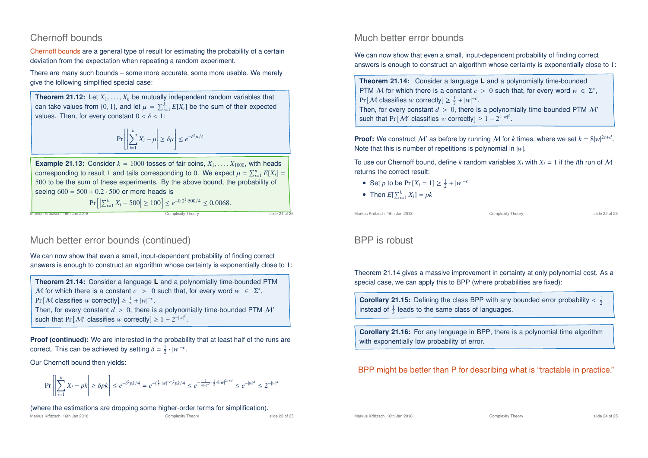### Chernoff bounds

Chernoff bounds are a general type of result for estimating the probability of a certain deviation from the expectation when repeating a random experiment.

There are many such bounds – some more accurate, some more usable. We merely give the following simplified special case:

**Theorem 21.12:** Let  $X_1, \ldots, X_k$  be mutually independent random variables that can take values from  $\{0, 1\}$ , and let  $\mu = \sum_{i=1}^{k} E[X_i]$  be the sum of their expected values. Then, for every constant  $0 < \delta < 1$ :

$$
\Pr\left[\left|\sum_{i=1}^k X_i - \mu\right| \ge \delta \mu\right] \le e^{-\delta^2 \mu/4}
$$

**Example 21.13:** Consider  $k = 1000$  tosses of fair coins,  $X_1, \ldots, X_{1000}$ , with heads corresponding to result 1 and tails corresponding to 0. We expect  $\mu = \sum_{i=1}^{n} E[X_i] =$ 500 to be the sum of these experiments. By the above bound, the probability of seeing  $600 = 500 + 0.2 \cdot 500$  or more heads is

$$
\Pr\left[\left|\sum_{i=1}^{k} X_i - 500\right| \ge 100\right] \le e^{-0.2^2 \cdot 500/4} \le 0.0068.
$$

!<br>Markus Krötzsch, 16th Jan 2018 Complexity Theory slide 21 of 25 of 25 of 25 of 25 of 25 of 25 of 25 of 25 of 25

### Much better error bounds (continued)

We can now show that even a small, input-dependent probability of finding correct answers is enough to construct an algorithm whose certainty is exponentially close to 1:

**Theorem 21.14:** Consider a language **L** and a polynomially time-bounded PTM M for which there is a constant  $c > 0$  such that, for every word  $w \in \Sigma^*$ ,  $Pr[M$  classifies *w* correctly]  $\geq \frac{1}{2} + |w|^{-c}$ . Then, for every constant  $d > 0$ , there is a polynomially time-bounded PTM M' such that  $Pr[M'$  classifies *w* correctly]  $\geq 1 - 2^{-|w|^d}$ .

**Proof (continued):** We are interested in the probability that at least half of the runs are correct. This can be achieved by setting  $\delta = \frac{1}{2} \cdot |w|^{-c}$ .

Our Chernoff bound then yields:

$$
\Pr\left[\left|\sum_{i=1}^k X_i - p_k\right| \ge \delta p k\right] \le e^{-\delta^2 p k/4} = e^{-\left(\frac{1}{2}\cdot|w|^{-c}\right)^2 p k/4} \le e^{-\frac{1}{4|w|^{2c}} \cdot \frac{1}{2}\cdot 8|w|^{2c+d}} \le e^{-|w|^d} \le 2^{-|w|^d}
$$

(where the estimations are dropping some higher-order terms for simplification).

### Much better error bounds

We can now show that even a small, input-dependent probability of finding correct answers is enough to construct an algorithm whose certainty is exponentially close to 1:

**Theorem 21.14:** Consider a language **L** and a polynomially time-bounded PTM M for which there is a constant  $c > 0$  such that, for every word  $w \in \Sigma^*$ ,  $Pr[\mathcal{M}$  classifies *w* correctly]  $\geq \frac{1}{2} + |w|^{-c}$ . Then, for every constant  $d > 0$ , there is a polynomially time-bounded PTM M' such that  $Pr[M'$  classifies *w* correctly]  $\geq 1 - 2^{-|w|^d}$ .

**Proof:** We construct M' as before by running M for *k* times, where we set  $k = 8|w|^{2c+d}$ . Note that this is number of repetitions is polynomial in |*w*|.

To use our Chernoff bound, define *k* random variables  $X_i$  with  $X_i = 1$  if the *i*th run of M returns the correct result:

- Set *p* to be  $Pr[X_i = 1] \ge \frac{1}{2} + |w|^{-c}$
- Then  $E[\sum_{i=1}^{k} X_i] = pk$

Markus Krötzsch, 16th Jan 2018 Complexity Theory slide 22 of 25

## BPP is robust

Theorem 21.14 gives a massive improvement in certainty at only polynomial cost. As a special case, we can apply this to BPP (where probabilities are fixed):

**Corollary 21.15:** Defining the class BPP with any bounded error probability  $\langle \frac{1}{2} \rangle$ instead of  $\frac{1}{3}$  leads to the same class of languages.

**Corollary 21.16:** For any language in BPP, there is a polynomial time algorithm with exponentially low probability of error.

### BPP might be better than P for describing what is "tractable in practice."